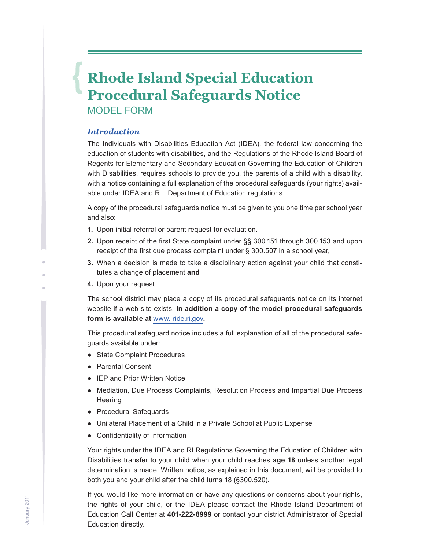## **Rhode Island Special Education Procedural Safeguards Notice**

Model Form

### *Introduction*

The Individuals with Disabilities Education Act (IDEA), the federal law concerning the education of students with disabilities, and the Regulations of the Rhode Island Board of Regents for Elementary and Secondary Education Governing the Education of Children with Disabilities, requires schools to provide you, the parents of a child with a disability, with a notice containing a full explanation of the procedural safeguards (your rights) available under IDEA and R.I. Department of Education regulations.

A copy of the procedural safeguards notice must be given to you one time per school year and also:

- **1.** Upon initial referral or parent request for evaluation.
- **2.** Upon receipt of the first State complaint under §§ 300.151 through 300.153 and upon receipt of the first due process complaint under § 300.507 in a school year,
- **3.** When a decision is made to take a disciplinary action against your child that constitutes a change of placement **and**
- **4.** Upon your request.

The school district may place a copy of its procedural safeguards notice on its internet website if a web site exists. **In addition a copy of the model procedural safeguards form is available at** www. ride.ri.gov**.** 

This procedural safeguard notice includes a full explanation of all of the procedural safeguards available under:

- State Complaint Procedures
- Parental Consent
- IEP and Prior Written Notice
- Mediation, Due Process Complaints, Resolution Process and Impartial Due Process **Hearing**
- Procedural Safeguards
- Unilateral Placement of a Child in a Private School at Public Expense
- Confidentiality of Information

Your rights under the IDEA and RI Regulations Governing the Education of Children with Disabilities transfer to your child when your child reaches **age 18** unless another legal determination is made. Written notice, as explained in this document, will be provided to both you and your child after the child turns 18 (§300.520).

If you would like more information or have any questions or concerns about your rights, the rights of your child, or the IDEA please contact the Rhode Island Department of Education Call Center at **401-222-8999** or contact your district Administrator of Special Education directly.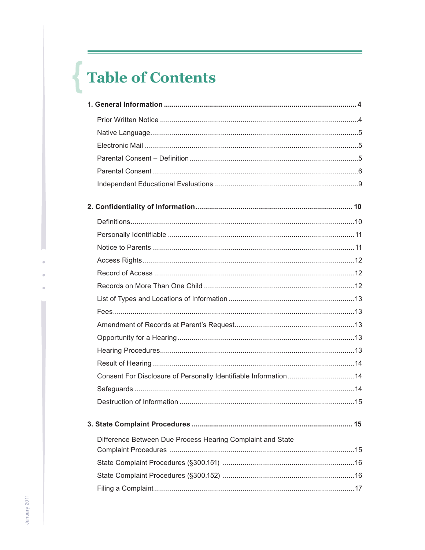# Table of Contents

| Consent For Disclosure of Personally Identifiable Information 14 |  |
|------------------------------------------------------------------|--|
|                                                                  |  |
|                                                                  |  |
|                                                                  |  |
| Difference Between Due Process Hearing Complaint and State       |  |
|                                                                  |  |
|                                                                  |  |
|                                                                  |  |
|                                                                  |  |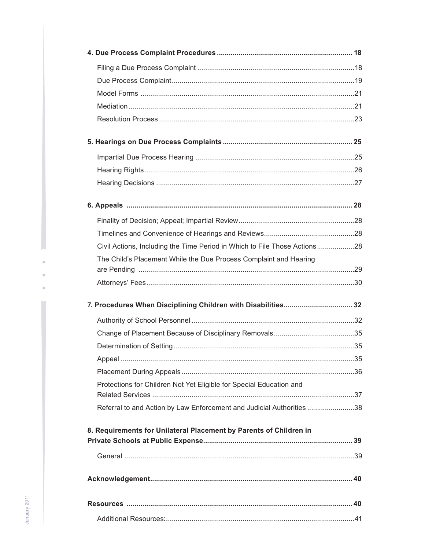| Civil Actions, Including the Time Period in Which to File Those Actions28 |  |
|---------------------------------------------------------------------------|--|
| The Child's Placement While the Due Process Complaint and Hearing         |  |
|                                                                           |  |
|                                                                           |  |
|                                                                           |  |
|                                                                           |  |
|                                                                           |  |
|                                                                           |  |
|                                                                           |  |
|                                                                           |  |
| Protections for Children Not Yet Eligible for Special Education and       |  |
|                                                                           |  |
| Referral to and Action by Law Enforcement and Judicial Authorities 38     |  |
| 8. Requirements for Unilateral Placement by Parents of Children in        |  |
|                                                                           |  |
|                                                                           |  |
|                                                                           |  |
|                                                                           |  |
|                                                                           |  |
|                                                                           |  |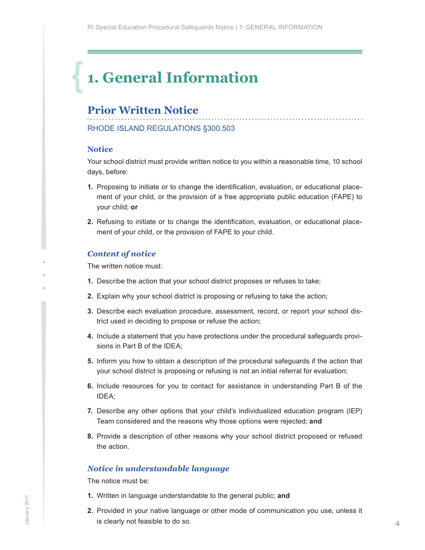## <span id="page-3-0"></span>**1. General Information**

## **Prior Written Notice**

RHODE ISLAND REGULATIONS §300.503

### **Notice**

Your school district must provide written notice to you within a reasonable time, 10 school days, before:

- **1.** Proposing to initiate or to change the identification, evaluation, or educational placement of your child, or the provision of a free appropriate public education (FAPE) to your child; **or**
- **2.** Refusing to initiate or to change the identification, evaluation, or educational placement of your child, or the provision of FAPE to your child.

#### *Content of notice*

The written notice must:

- **1.** Describe the action that your school district proposes or refuses to take;
- **2.** Explain why your school district is proposing or refusing to take the action;
- **3.** Describe each evaluation procedure, assessment, record, or report your school district used in deciding to propose or refuse the action;
- **4.** Include a statement that you have protections under the procedural safeguards provisions in Part B of the IDEA;
- **5.** Inform you how to obtain a description of the procedural safeguards if the action that your school district is proposing or refusing is not an initial referral for evaluation;
- **6.** Include resources for you to contact for assistance in understanding Part B of the IDEA;
- **7.** Describe any other options that your child's individualized education program (IEP) Team considered and the reasons why those options were rejected; **and**
- **8.** Provide a description of other reasons why your school district proposed or refused the action.

#### *Notice in understandable language*

The notice must be:

- **1.** Written in language understandable to the general public; **and**
- **2.** Provided in your native language or other mode of communication you use, unless it is clearly not feasible to do so.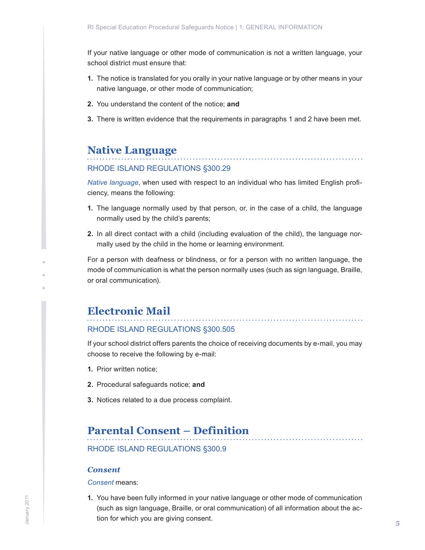<span id="page-4-0"></span>If your native language or other mode of communication is not a written language, your school district must ensure that:

- **1.** The notice is translated for you orally in your native language or by other means in your native language, or other mode of communication;
- **2.** You understand the content of the notice; **and**
- **3.** There is written evidence that the requirements in paragraphs 1 and 2 have been met.

## **Native Language**

## RHODE ISLAND REGULATIONS §300.29

*Native language*, when used with respect to an individual who has limited English proficiency, means the following:

- **1.** The language normally used by that person, or, in the case of a child, the language normally used by the child's parents;
- **2.** In all direct contact with a child (including evaluation of the child), the language normally used by the child in the home or learning environment.

For a person with deafness or blindness, or for a person with no written language, the mode of communication is what the person normally uses (such as sign language, Braille, or oral communication).

## **Electronic Mail**

#### RHODE ISLAND REGULATIONS §300.505

If your school district offers parents the choice of receiving documents by e-mail, you may choose to receive the following by e-mail:

- **1.** Prior written notice;
- **2.** Procedural safeguards notice; **and**
- **3.** Notices related to a due process complaint.

## **Parental Consent – Definition**

RHODE ISLAND REGULATIONS §300.9

#### *Consent*

*Consent* means:

**1.** You have been fully informed in your native language or other mode of communication (such as sign language, Braille, or oral communication) of all information about the action for which you are giving consent.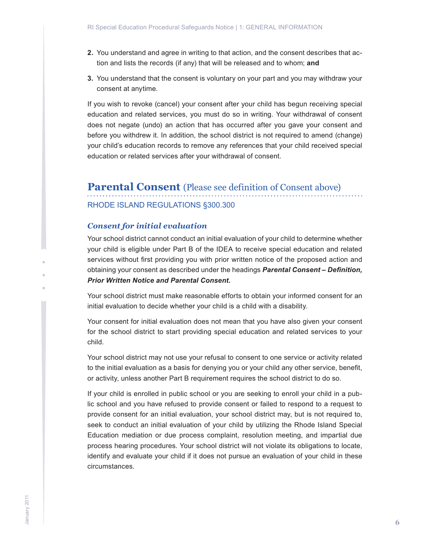- <span id="page-5-0"></span>**2.** You understand and agree in writing to that action, and the consent describes that action and lists the records (if any) that will be released and to whom; **and**
- **3.** You understand that the consent is voluntary on your part and you may withdraw your consent at anytime.

If you wish to revoke (cancel) your consent after your child has begun receiving special education and related services, you must do so in writing. Your withdrawal of consent does not negate (undo) an action that has occurred after you gave your consent and before you withdrew it. In addition, the school district is not required to amend (change) your child's education records to remove any references that your child received special education or related services after your withdrawal of consent.

## **Parental Consent** (Please see definition of Consent above) RHODE ISLAND REGULATIONS §300.300

#### *Consent for initial evaluation*

Your school district cannot conduct an initial evaluation of your child to determine whether your child is eligible under Part B of the IDEA to receive special education and related services without first providing you with prior written notice of the proposed action and obtaining your consent as described under the headings *Parental Consent – Definition, Prior Written Notice and Parental Consent.*

Your school district must make reasonable efforts to obtain your informed consent for an initial evaluation to decide whether your child is a child with a disability.

Your consent for initial evaluation does not mean that you have also given your consent for the school district to start providing special education and related services to your child.

Your school district may not use your refusal to consent to one service or activity related to the initial evaluation as a basis for denying you or your child any other service, benefit, or activity, unless another Part B requirement requires the school district to do so.

If your child is enrolled in public school or you are seeking to enroll your child in a public school and you have refused to provide consent or failed to respond to a request to provide consent for an initial evaluation, your school district may, but is not required to, seek to conduct an initial evaluation of your child by utilizing the Rhode Island Special Education mediation or due process complaint, resolution meeting, and impartial due process hearing procedures. Your school district will not violate its obligations to locate, identify and evaluate your child if it does not pursue an evaluation of your child in these circumstances.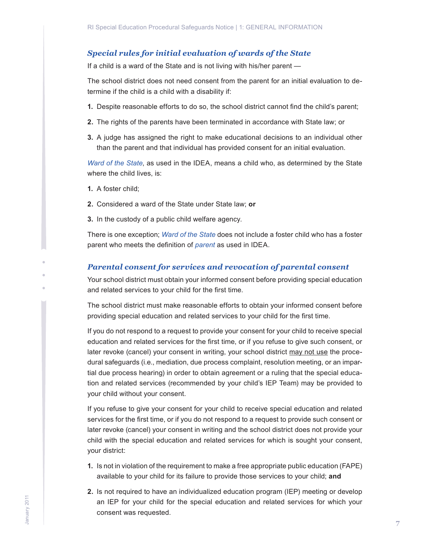## *Special rules for initial evaluation of wards of the State*

If a child is a ward of the State and is not living with his/her parent —

The school district does not need consent from the parent for an initial evaluation to determine if the child is a child with a disability if:

- **1.** Despite reasonable efforts to do so, the school district cannot find the child's parent;
- **2.** The rights of the parents have been terminated in accordance with State law; or
- **3.** A judge has assigned the right to make educational decisions to an individual other than the parent and that individual has provided consent for an initial evaluation.

*Ward of the State*, as used in the IDEA, means a child who, as determined by the State where the child lives, is:

- **1.** A foster child;
- **2.** Considered a ward of the State under State law; **or**
- **3.** In the custody of a public child welfare agency.

There is one exception; *Ward of the State* does not include a foster child who has a foster parent who meets the definition of *parent* as used in IDEA.

#### *Parental consent for services and revocation of parental consent*

Your school district must obtain your informed consent before providing special education and related services to your child for the first time.

The school district must make reasonable efforts to obtain your informed consent before providing special education and related services to your child for the first time.

If you do not respond to a request to provide your consent for your child to receive special education and related services for the first time, or if you refuse to give such consent, or later revoke (cancel) your consent in writing, your school district may not use the procedural safeguards (i.e., mediation, due process complaint, resolution meeting, or an impartial due process hearing) in order to obtain agreement or a ruling that the special education and related services (recommended by your child's IEP Team) may be provided to your child without your consent.

If you refuse to give your consent for your child to receive special education and related services for the first time, or if you do not respond to a request to provide such consent or later revoke (cancel) your consent in writing and the school district does not provide your child with the special education and related services for which is sought your consent, your district:

- **1.** Is not in violation of the requirement to make a free appropriate public education (FAPE) available to your child for its failure to provide those services to your child; **and**
- **2.** Is not required to have an individualized education program (IEP) meeting or develop an IEP for your child for the special education and related services for which your consent was requested.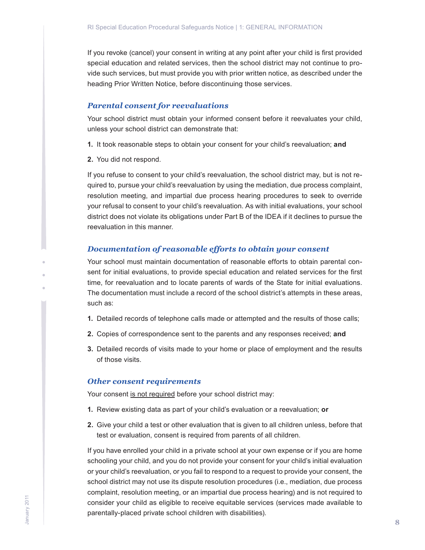If you revoke (cancel) your consent in writing at any point after your child is first provided special education and related services, then the school district may not continue to provide such services, but must provide you with prior written notice, as described under the heading Prior Written Notice, before discontinuing those services.

#### *Parental consent for reevaluations*

Your school district must obtain your informed consent before it reevaluates your child, unless your school district can demonstrate that:

- **1.** It took reasonable steps to obtain your consent for your child's reevaluation; **and**
- **2.** You did not respond.

If you refuse to consent to your child's reevaluation, the school district may, but is not required to, pursue your child's reevaluation by using the mediation, due process complaint, resolution meeting, and impartial due process hearing procedures to seek to override your refusal to consent to your child's reevaluation. As with initial evaluations, your school district does not violate its obligations under Part B of the IDEA if it declines to pursue the reevaluation in this manner.

#### *Documentation of reasonable efforts to obtain your consent*

Your school must maintain documentation of reasonable efforts to obtain parental consent for initial evaluations, to provide special education and related services for the first time, for reevaluation and to locate parents of wards of the State for initial evaluations. The documentation must include a record of the school district's attempts in these areas, such as:

- **1.** Detailed records of telephone calls made or attempted and the results of those calls;
- **2.** Copies of correspondence sent to the parents and any responses received; **and**
- **3.** Detailed records of visits made to your home or place of employment and the results of those visits.

### *Other consent requirements*

Your consent is not required before your school district may:

- **1.** Review existing data as part of your child's evaluation or a reevaluation; **or**
- **2.** Give your child a test or other evaluation that is given to all children unless, before that test or evaluation, consent is required from parents of all children.

If you have enrolled your child in a private school at your own expense or if you are home schooling your child, and you do not provide your consent for your child's initial evaluation or your child's reevaluation, or you fail to respond to a request to provide your consent, the school district may not use its dispute resolution procedures (i.e., mediation, due process complaint, resolution meeting, or an impartial due process hearing) and is not required to consider your child as eligible to receive equitable services (services made available to parentally-placed private school children with disabilities).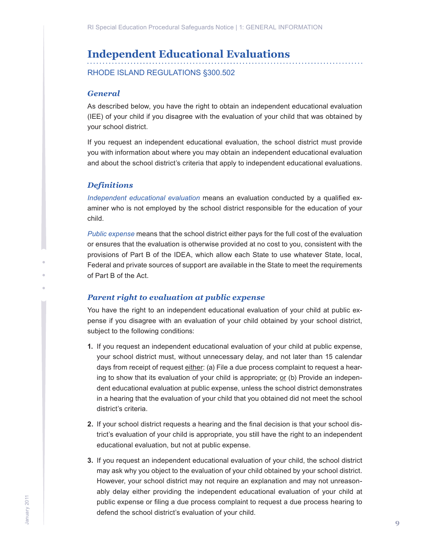## <span id="page-8-0"></span>**Independent Educational Evaluations**

RHODE ISLAND REGULATIONS §300.502

### *General*

As described below, you have the right to obtain an independent educational evaluation (IEE) of your child if you disagree with the evaluation of your child that was obtained by your school district.

If you request an independent educational evaluation, the school district must provide you with information about where you may obtain an independent educational evaluation and about the school district's criteria that apply to independent educational evaluations.

## *Definitions*

*Independent educational evaluation* means an evaluation conducted by a qualified examiner who is not employed by the school district responsible for the education of your child.

*Public expense* means that the school district either pays for the full cost of the evaluation or ensures that the evaluation is otherwise provided at no cost to you, consistent with the provisions of Part B of the IDEA, which allow each State to use whatever State, local, Federal and private sources of support are available in the State to meet the requirements of Part B of the Act.

## *Parent right to evaluation at public expense*

You have the right to an independent educational evaluation of your child at public expense if you disagree with an evaluation of your child obtained by your school district, subject to the following conditions:

- **1.** If you request an independent educational evaluation of your child at public expense, your school district must, without unnecessary delay, and not later than 15 calendar days from receipt of request either: (a) File a due process complaint to request a hearing to show that its evaluation of your child is appropriate;  $or$  (b) Provide an independent educational evaluation at public expense, unless the school district demonstrates in a hearing that the evaluation of your child that you obtained did not meet the school district's criteria.
- **2.** If your school district requests a hearing and the final decision is that your school district's evaluation of your child is appropriate, you still have the right to an independent educational evaluation, but not at public expense.
- **3.** If you request an independent educational evaluation of your child, the school district may ask why you object to the evaluation of your child obtained by your school district. However, your school district may not require an explanation and may not unreasonably delay either providing the independent educational evaluation of your child at public expense or filing a due process complaint to request a due process hearing to defend the school district's evaluation of your child.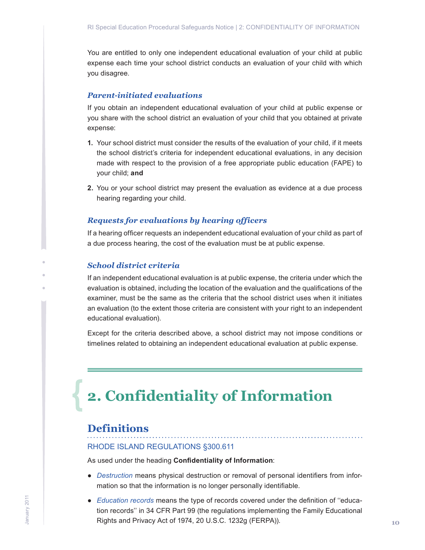<span id="page-9-0"></span>You are entitled to only one independent educational evaluation of your child at public expense each time your school district conducts an evaluation of your child with which you disagree.

## *Parent-initiated evaluations*

If you obtain an independent educational evaluation of your child at public expense or you share with the school district an evaluation of your child that you obtained at private expense:

- **1.** Your school district must consider the results of the evaluation of your child, if it meets the school district's criteria for independent educational evaluations, in any decision made with respect to the provision of a free appropriate public education (FAPE) to your child; **and**
- **2.** You or your school district may present the evaluation as evidence at a due process hearing regarding your child.

### *Requests for evaluations by hearing officers*

If a hearing officer requests an independent educational evaluation of your child as part of a due process hearing, the cost of the evaluation must be at public expense.

### *School district criteria*

If an independent educational evaluation is at public expense, the criteria under which the evaluation is obtained, including the location of the evaluation and the qualifications of the examiner, must be the same as the criteria that the school district uses when it initiates an evaluation (to the extent those criteria are consistent with your right to an independent educational evaluation).

Except for the criteria described above, a school district may not impose conditions or timelines related to obtaining an independent educational evaluation at public expense.

## **2. Confidentiality of Information**

## **Definitions**

### RHODE ISLAND REGULATIONS §300.611

As used under the heading **Confidentiality of Information**:

● *Destruction* means physical destruction or removal of personal identifiers from information so that the information is no longer personally identifiable.

. . . . . . . . . . . . . . . . . . .

● *Education records* means the type of records covered under the definition of ''education records'' in 34 CFR Part 99 (the regulations implementing the Family Educational Rights and Privacy Act of 1974, 20 U.S.C. 1232g (FERPA)).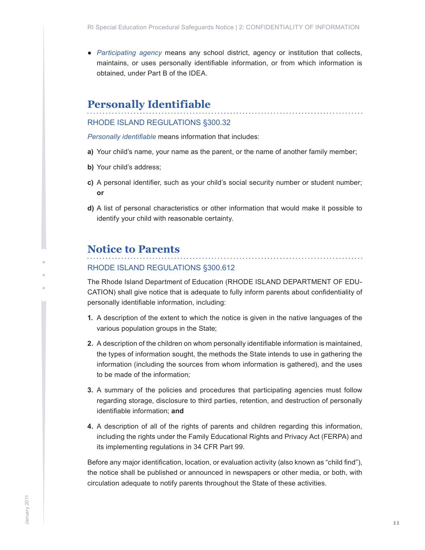<span id="page-10-0"></span>● *Participating agency* means any school district, agency or institution that collects, maintains, or uses personally identifiable information, or from which information is obtained, under Part B of the IDEA.

## **Personally Identifiable**

## RHODE ISLAND REGULATIONS §300.32

*Personally identifiable* means information that includes:

- **a)** Your child's name, your name as the parent, or the name of another family member;
- **b)** Your child's address;
- **c)** A personal identifier, such as your child's social security number or student number; **or**
- **d)** A list of personal characteristics or other information that would make it possible to identify your child with reasonable certainty.

## **Notice to Parents**

#### RHODE ISLAND REGULATIONS §300.612

The Rhode Island Department of Education (RHODE ISLAND DEPARTMENT OF EDU-CATION) shall give notice that is adequate to fully inform parents about confidentiality of personally identifiable information, including:

. . . . . . . . . . . . . . . . . . . .

- **1.** A description of the extent to which the notice is given in the native languages of the various population groups in the State;
- **2.** A description of the children on whom personally identifiable information is maintained, the types of information sought, the methods the State intends to use in gathering the information (including the sources from whom information is gathered), and the uses to be made of the information;
- **3.** A summary of the policies and procedures that participating agencies must follow regarding storage, disclosure to third parties, retention, and destruction of personally identifiable information; **and**
- **4.** A description of all of the rights of parents and children regarding this information, including the rights under the Family Educational Rights and Privacy Act (FERPA) and its implementing regulations in 34 CFR Part 99.

Before any major identification, location, or evaluation activity (also known as "child find"), the notice shall be published or announced in newspapers or other media, or both, with circulation adequate to notify parents throughout the State of these activities.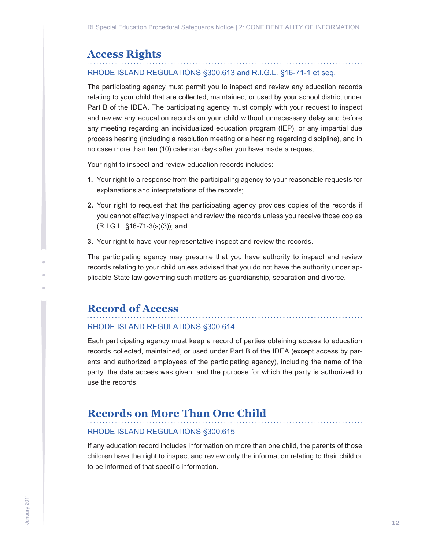## <span id="page-11-0"></span>**Access Rights**

## RHODE ISLAND REGULATIONS §300.613 and R.I.G.L. §16-71-1 et seq.

The participating agency must permit you to inspect and review any education records relating to your child that are collected, maintained, or used by your school district under Part B of the IDEA. The participating agency must comply with your request to inspect and review any education records on your child without unnecessary delay and before any meeting regarding an individualized education program (IEP), or any impartial due process hearing (including a resolution meeting or a hearing regarding discipline), and in no case more than ten (10) calendar days after you have made a request.

Your right to inspect and review education records includes:

- **1.** Your right to a response from the participating agency to your reasonable requests for explanations and interpretations of the records;
- **2.** Your right to request that the participating agency provides copies of the records if you cannot effectively inspect and review the records unless you receive those copies (R.I.G.L. §16-71-3(a)(3)); **and**
- **3.** Your right to have your representative inspect and review the records.

The participating agency may presume that you have authority to inspect and review records relating to your child unless advised that you do not have the authority under applicable State law governing such matters as guardianship, separation and divorce.

## **Record of Access**

#### RHODE ISLAND REGULATIONS §300.614

Each participating agency must keep a record of parties obtaining access to education records collected, maintained, or used under Part B of the IDEA (except access by parents and authorized employees of the participating agency), including the name of the party, the date access was given, and the purpose for which the party is authorized to use the records.

## **Records on More Than One Child**

## RHODE ISLAND REGULATIONS §300.615

If any education record includes information on more than one child, the parents of those children have the right to inspect and review only the information relating to their child or to be informed of that specific information.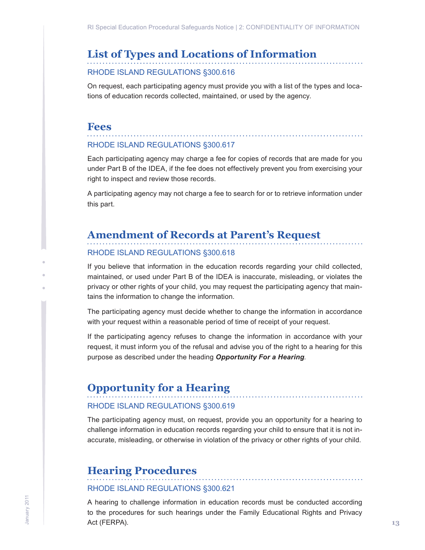## <span id="page-12-0"></span>**List of Types and Locations of Information**

### RHODE ISLAND REGULATIONS §300.616

On request, each participating agency must provide you with a list of the types and locations of education records collected, maintained, or used by the agency.

## **Fees**

## RHODE ISLAND REGULATIONS §300.617

Each participating agency may charge a fee for copies of records that are made for you under Part B of the IDEA, if the fee does not effectively prevent you from exercising your right to inspect and review those records.

A participating agency may not charge a fee to search for or to retrieve information under this part.

## **Amendment of Records at Parent's Request**

#### RHODE ISLAND REGULATIONS §300.618

If you believe that information in the education records regarding your child collected, maintained, or used under Part B of the IDEA is inaccurate, misleading, or violates the privacy or other rights of your child, you may request the participating agency that maintains the information to change the information.

The participating agency must decide whether to change the information in accordance with your request within a reasonable period of time of receipt of your request.

If the participating agency refuses to change the information in accordance with your request, it must inform you of the refusal and advise you of the right to a hearing for this purpose as described under the heading *Opportunity For a Hearing.* 

## **Opportunity for a Hearing**

## RHODE ISLAND REGULATIONS §300.619

The participating agency must, on request, provide you an opportunity for a hearing to challenge information in education records regarding your child to ensure that it is not inaccurate, misleading, or otherwise in violation of the privacy or other rights of your child.

## **Hearing Procedures**

## RHODE ISLAND REGULATIONS §300.621

A hearing to challenge information in education records must be conducted according to the procedures for such hearings under the Family Educational Rights and Privacy Act (FERPA).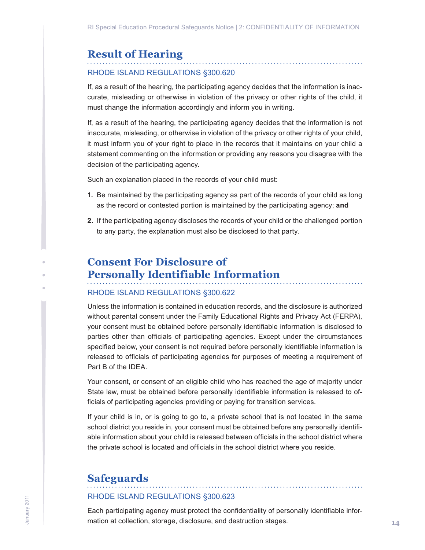## <span id="page-13-0"></span>**Result of Hearing**

## RHODE ISLAND REGULATIONS §300.620

If, as a result of the hearing, the participating agency decides that the information is inaccurate, misleading or otherwise in violation of the privacy or other rights of the child, it must change the information accordingly and inform you in writing.

If, as a result of the hearing, the participating agency decides that the information is not inaccurate, misleading, or otherwise in violation of the privacy or other rights of your child, it must inform you of your right to place in the records that it maintains on your child a statement commenting on the information or providing any reasons you disagree with the decision of the participating agency.

Such an explanation placed in the records of your child must:

- **1.** Be maintained by the participating agency as part of the records of your child as long as the record or contested portion is maintained by the participating agency; **and**
- **2.** If the participating agency discloses the records of your child or the challenged portion to any party, the explanation must also be disclosed to that party.

## **Consent For Disclosure of Personally Identifiable Information**

## RHODE ISLAND REGULATIONS §300.622

Unless the information is contained in education records, and the disclosure is authorized without parental consent under the Family Educational Rights and Privacy Act (FERPA), your consent must be obtained before personally identifiable information is disclosed to parties other than officials of participating agencies. Except under the circumstances specified below, your consent is not required before personally identifiable information is released to officials of participating agencies for purposes of meeting a requirement of Part B of the IDEA.

Your consent, or consent of an eligible child who has reached the age of majority under State law, must be obtained before personally identifiable information is released to officials of participating agencies providing or paying for transition services.

If your child is in, or is going to go to, a private school that is not located in the same school district you reside in, your consent must be obtained before any personally identifiable information about your child is released between officials in the school district where the private school is located and officials in the school district where you reside.

## **Safeguards**

#### RHODE ISLAND REGULATIONS §300.623

Each participating agency must protect the confidentiality of personally identifiable information at collection, storage, disclosure, and destruction stages.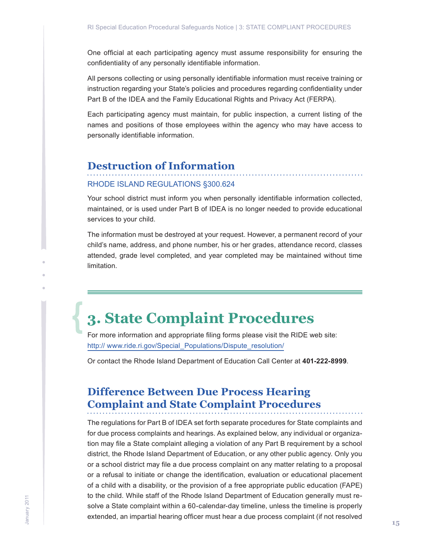<span id="page-14-0"></span>One official at each participating agency must assume responsibility for ensuring the confidentiality of any personally identifiable information.

All persons collecting or using personally identifiable information must receive training or instruction regarding your State's policies and procedures regarding confidentiality under Part B of the IDEA and the Family Educational Rights and Privacy Act (FERPA).

Each participating agency must maintain, for public inspection, a current listing of the names and positions of those employees within the agency who may have access to personally identifiable information.

## **Destruction of Information**

#### RHODE ISLAND REGULATIONS §300.624

Your school district must inform you when personally identifiable information collected, maintained, or is used under Part B of IDEA is no longer needed to provide educational services to your child.

The information must be destroyed at your request. However, a permanent record of your child's name, address, and phone number, his or her grades, attendance record, classes attended, grade level completed, and year completed may be maintained without time limitation.

## **3. State Complaint Procedures**

For more information and appropriate filing forms please visit the RIDE web site: http:// www.ride.ri.gov/Special\_Populations/Dispute\_resolution/

Or contact the Rhode Island Department of Education Call Center at **401-222-8999**.

## **Difference Between Due Process Hearing Complaint and State Complaint Procedures**

The regulations for Part B of IDEA set forth separate procedures for State complaints and for due process complaints and hearings. As explained below, any individual or organization may file a State complaint alleging a violation of any Part B requirement by a school district, the Rhode Island Department of Education, or any other public agency. Only you or a school district may file a due process complaint on any matter relating to a proposal or a refusal to initiate or change the identification, evaluation or educational placement of a child with a disability, or the provision of a free appropriate public education (FAPE) to the child. While staff of the Rhode Island Department of Education generally must resolve a State complaint within a 60-calendar-day timeline, unless the timeline is properly extended, an impartial hearing officer must hear a due process complaint (if not resolved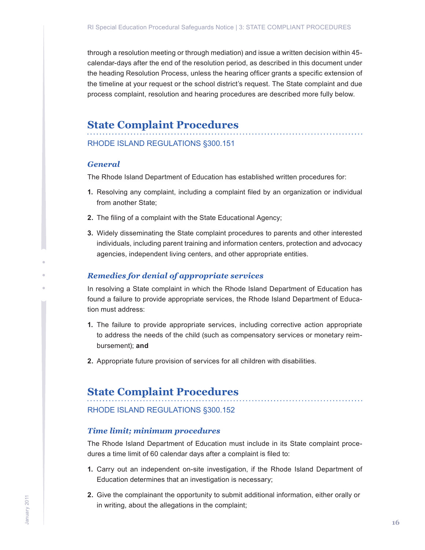<span id="page-15-0"></span>through a resolution meeting or through mediation) and issue a written decision within 45 calendar-days after the end of the resolution period, as described in this document under the heading Resolution Process, unless the hearing officer grants a specific extension of the timeline at your request or the school district's request. The State complaint and due process complaint, resolution and hearing procedures are described more fully below.

## **State Complaint Procedures**

## RHODE ISLAND REGULATIONS §300.151

#### *General*

The Rhode Island Department of Education has established written procedures for:

- **1.** Resolving any complaint, including a complaint filed by an organization or individual from another State;
- **2.** The filing of a complaint with the State Educational Agency;
- **3.** Widely disseminating the State complaint procedures to parents and other interested individuals, including parent training and information centers, protection and advocacy agencies, independent living centers, and other appropriate entities.

#### *Remedies for denial of appropriate services*

In resolving a State complaint in which the Rhode Island Department of Education has found a failure to provide appropriate services, the Rhode Island Department of Education must address:

- **1.** The failure to provide appropriate services, including corrective action appropriate to address the needs of the child (such as compensatory services or monetary reimbursement); **and**
- **2.** Appropriate future provision of services for all children with disabilities.

## **State Complaint Procedures**

#### RHODE ISLAND REGULATIONS §300.152

#### *Time limit; minimum procedures*

The Rhode Island Department of Education must include in its State complaint procedures a time limit of 60 calendar days after a complaint is filed to:

- **1.** Carry out an independent on-site investigation, if the Rhode Island Department of Education determines that an investigation is necessary;
- **2.** Give the complainant the opportunity to submit additional information, either orally or in writing, about the allegations in the complaint;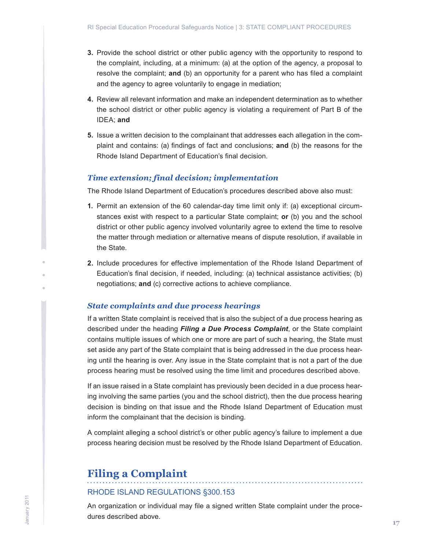- <span id="page-16-0"></span>**3.** Provide the school district or other public agency with the opportunity to respond to the complaint, including, at a minimum: (a) at the option of the agency, a proposal to resolve the complaint; **and** (b) an opportunity for a parent who has filed a complaint and the agency to agree voluntarily to engage in mediation;
- **4.** Review all relevant information and make an independent determination as to whether the school district or other public agency is violating a requirement of Part B of the IDEA; **and**
- **5.** Issue a written decision to the complainant that addresses each allegation in the complaint and contains: (a) findings of fact and conclusions; **and** (b) the reasons for the Rhode Island Department of Education's final decision.

#### *Time extension; final decision; implementation*

The Rhode Island Department of Education's procedures described above also must:

- **1.** Permit an extension of the 60 calendar-day time limit only if: (a) exceptional circumstances exist with respect to a particular State complaint; **or** (b) you and the school district or other public agency involved voluntarily agree to extend the time to resolve the matter through mediation or alternative means of dispute resolution, if available in the State.
- **2.** Include procedures for effective implementation of the Rhode Island Department of Education's final decision, if needed, including: (a) technical assistance activities; (b) negotiations; **and** (c) corrective actions to achieve compliance.

### *State complaints and due process hearings*

If a written State complaint is received that is also the subject of a due process hearing as described under the heading *Filing a Due Process Complaint*, or the State complaint contains multiple issues of which one or more are part of such a hearing, the State must set aside any part of the State complaint that is being addressed in the due process hearing until the hearing is over. Any issue in the State complaint that is not a part of the due process hearing must be resolved using the time limit and procedures described above.

If an issue raised in a State complaint has previously been decided in a due process hearing involving the same parties (you and the school district), then the due process hearing decision is binding on that issue and the Rhode Island Department of Education must inform the complainant that the decision is binding.

A complaint alleging a school district's or other public agency's failure to implement a due process hearing decision must be resolved by the Rhode Island Department of Education.

## **Filing a Complaint**

#### RHODE ISLAND REGULATIONS §300.153

An organization or individual may file a signed written State complaint under the procedures described above.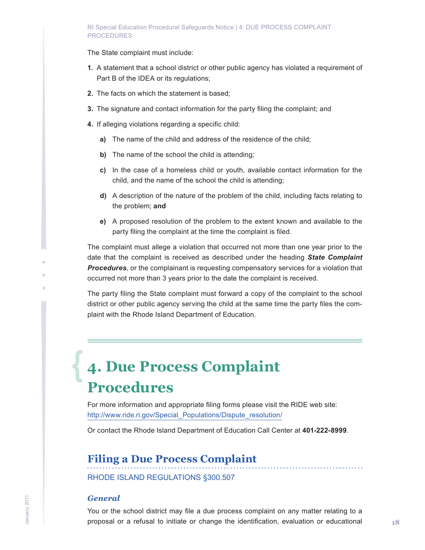#### <span id="page-17-0"></span>RI Special Education Procedural Safeguards Notice | 4: DUE PROCESS COMPLAINT PROCEDURES

The State complaint must include:

- **1.** A statement that a school district or other public agency has violated a requirement of Part B of the IDEA or its regulations;
- **2.** The facts on which the statement is based;
- **3.** The signature and contact information for the party filing the complaint; and
- **4.** If alleging violations regarding a specific child:
	- **a)** The name of the child and address of the residence of the child;
	- **b)** The name of the school the child is attending;
	- **c)** In the case of a homeless child or youth, available contact information for the child, and the name of the school the child is attending;
	- **d)** A description of the nature of the problem of the child, including facts relating to the problem; **and**
	- **e)** A proposed resolution of the problem to the extent known and available to the party filing the complaint at the time the complaint is filed.

The complaint must allege a violation that occurred not more than one year prior to the date that the complaint is received as described under the heading *State Complaint Procedures*, or the complainant is requesting compensatory services for a violation that occurred not more than 3 years prior to the date the complaint is received.

The party filing the State complaint must forward a copy of the complaint to the school district or other public agency serving the child at the same time the party files the complaint with the Rhode Island Department of Education.

## **4. Due Process Complaint Procedures**

For more information and appropriate filing forms please visit the RIDE web site: http://www.ride.ri.gov/Special\_Populations/Dispute\_resolution/

Or contact the Rhode Island Department of Education Call Center at **401-222-8999**.

## **Filing a Due Process Complaint**

RHODE ISLAND REGULATIONS §300.507

#### *General*

You or the school district may file a due process complaint on any matter relating to a proposal or a refusal to initiate or change the identification, evaluation or educational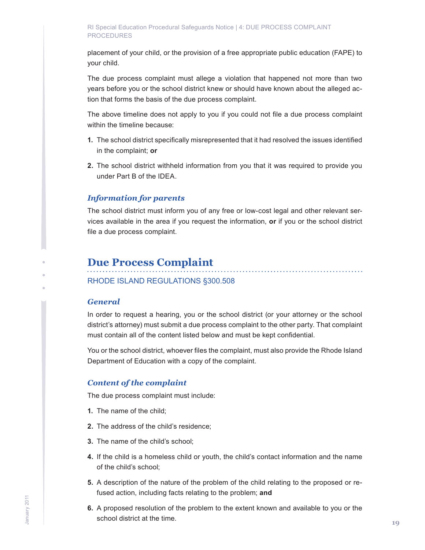<span id="page-18-0"></span>placement of your child, or the provision of a free appropriate public education (FAPE) to your child.

The due process complaint must allege a violation that happened not more than two years before you or the school district knew or should have known about the alleged action that forms the basis of the due process complaint.

The above timeline does not apply to you if you could not file a due process complaint within the timeline because:

- **1.** The school district specifically misrepresented that it had resolved the issues identified in the complaint; **or**
- **2.** The school district withheld information from you that it was required to provide you under Part B of the IDEA.

## *Information for parents*

The school district must inform you of any free or low-cost legal and other relevant services available in the area if you request the information, **or** if you or the school district file a due process complaint.

## **Due Process Complaint**

RHODE ISLAND REGULATIONS §300.508

### *General*

In order to request a hearing, you or the school district (or your attorney or the school district's attorney) must submit a due process complaint to the other party. That complaint must contain all of the content listed below and must be kept confidential.

You or the school district, whoever files the complaint, must also provide the Rhode Island Department of Education with a copy of the complaint.

## *Content of the complaint*

The due process complaint must include:

- **1.** The name of the child;
- **2.** The address of the child's residence;
- **3.** The name of the child's school;
- **4.** If the child is a homeless child or youth, the child's contact information and the name of the child's school;
- **5.** A description of the nature of the problem of the child relating to the proposed or refused action, including facts relating to the problem; **and**
- **6.** A proposed resolution of the problem to the extent known and available to you or the school district at the time.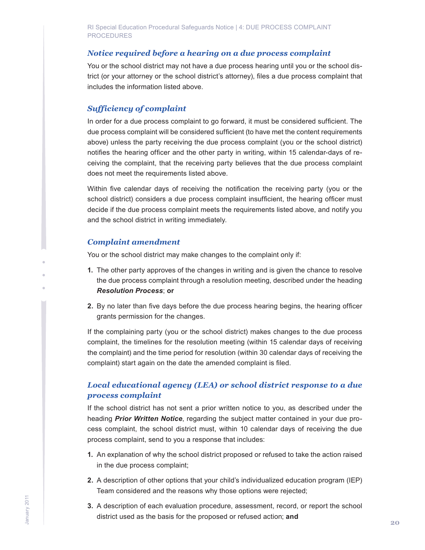## *Notice required before a hearing on a due process complaint*

You or the school district may not have a due process hearing until you or the school district (or your attorney or the school district's attorney), files a due process complaint that includes the information listed above.

## *Sufficiency of complaint*

In order for a due process complaint to go forward, it must be considered sufficient. The due process complaint will be considered sufficient (to have met the content requirements above) unless the party receiving the due process complaint (you or the school district) notifies the hearing officer and the other party in writing, within 15 calendar-days of receiving the complaint, that the receiving party believes that the due process complaint does not meet the requirements listed above.

Within five calendar days of receiving the notification the receiving party (you or the school district) considers a due process complaint insufficient, the hearing officer must decide if the due process complaint meets the requirements listed above, and notify you and the school district in writing immediately.

### *Complaint amendment*

You or the school district may make changes to the complaint only if:

- **1.** The other party approves of the changes in writing and is given the chance to resolve the due process complaint through a resolution meeting, described under the heading *Resolution Process*; **or**
- **2.** By no later than five days before the due process hearing begins, the hearing officer grants permission for the changes.

If the complaining party (you or the school district) makes changes to the due process complaint, the timelines for the resolution meeting (within 15 calendar days of receiving the complaint) and the time period for resolution (within 30 calendar days of receiving the complaint) start again on the date the amended complaint is filed.

## *Local educational agency (LEA) or school district response to a due process complaint*

If the school district has not sent a prior written notice to you, as described under the heading *Prior Written Notice*, regarding the subject matter contained in your due process complaint, the school district must, within 10 calendar days of receiving the due process complaint, send to you a response that includes:

- **1.** An explanation of why the school district proposed or refused to take the action raised in the due process complaint;
- **2.** A description of other options that your child's individualized education program (IEP) Team considered and the reasons why those options were rejected;
- **3.** A description of each evaluation procedure, assessment, record, or report the school district used as the basis for the proposed or refused action; **and**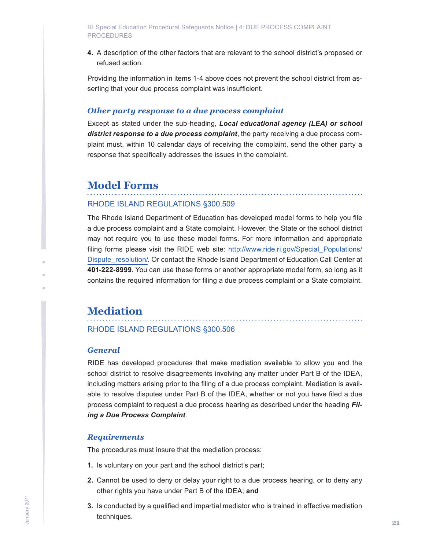<span id="page-20-0"></span>**4.** A description of the other factors that are relevant to the school district's proposed or refused action.

Providing the information in items 1-4 above does not prevent the school district from asserting that your due process complaint was insufficient.

### *Other party response to a due process complaint*

Except as stated under the sub-heading, *Local educational agency (LEA) or school district response to a due process complaint*, the party receiving a due process complaint must, within 10 calendar days of receiving the complaint, send the other party a response that specifically addresses the issues in the complaint.

## **Model Forms**

#### RHODE ISLAND REGULATIONS §300.509

The Rhode Island Department of Education has developed model forms to help you file a due process complaint and a State complaint. However, the State or the school district may not require you to use these model forms. For more information and appropriate filing forms please visit the RIDE web site: http://www.ride.ri.gov/Special Populations/ Dispute\_resolution/. Or contact the Rhode Island Department of Education Call Center at **401-222-8999**. You can use these forms or another appropriate model form, so long as it contains the required information for filing a due process complaint or a State complaint.

## **Mediation**

RHODE ISLAND REGULATIONS §300.506

### *General*

RIDE has developed procedures that make mediation available to allow you and the school district to resolve disagreements involving any matter under Part B of the IDEA, including matters arising prior to the filing of a due process complaint. Mediation is available to resolve disputes under Part B of the IDEA, whether or not you have filed a due process complaint to request a due process hearing as described under the heading *Filing a Due Process Complaint*.

### *Requirements*

The procedures must insure that the mediation process:

- **1.** Is voluntary on your part and the school district's part;
- **2.** Cannot be used to deny or delay your right to a due process hearing, or to deny any other rights you have under Part B of the IDEA; **and**
- **3.** Is conducted by a qualified and impartial mediator who is trained in effective mediation techniques.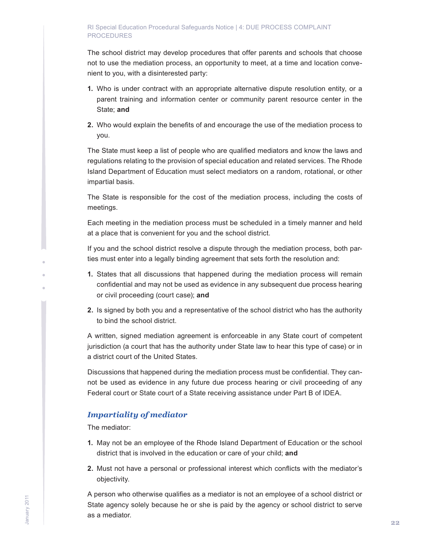#### RI Special Education Procedural Safeguards Notice | 4: DUE PROCESS COMPLAINT PROCEDURES

The school district may develop procedures that offer parents and schools that choose not to use the mediation process, an opportunity to meet, at a time and location convenient to you, with a disinterested party:

- **1.** Who is under contract with an appropriate alternative dispute resolution entity, or a parent training and information center or community parent resource center in the State; **and**
- **2.** Who would explain the benefits of and encourage the use of the mediation process to you.

The State must keep a list of people who are qualified mediators and know the laws and regulations relating to the provision of special education and related services. The Rhode Island Department of Education must select mediators on a random, rotational, or other impartial basis.

The State is responsible for the cost of the mediation process, including the costs of meetings.

Each meeting in the mediation process must be scheduled in a timely manner and held at a place that is convenient for you and the school district.

If you and the school district resolve a dispute through the mediation process, both parties must enter into a legally binding agreement that sets forth the resolution and:

- **1.** States that all discussions that happened during the mediation process will remain confidential and may not be used as evidence in any subsequent due process hearing or civil proceeding (court case); **and**
- **2.** Is signed by both you and a representative of the school district who has the authority to bind the school district.

A written, signed mediation agreement is enforceable in any State court of competent jurisdiction (a court that has the authority under State law to hear this type of case) or in a district court of the United States.

Discussions that happened during the mediation process must be confidential. They cannot be used as evidence in any future due process hearing or civil proceeding of any Federal court or State court of a State receiving assistance under Part B of IDEA.

## *Impartiality of mediator*

The mediator:

- **1.** May not be an employee of the Rhode Island Department of Education or the school district that is involved in the education or care of your child; **and**
- **2.** Must not have a personal or professional interest which conflicts with the mediator's objectivity.

A person who otherwise qualifies as a mediator is not an employee of a school district or State agency solely because he or she is paid by the agency or school district to serve as a mediator.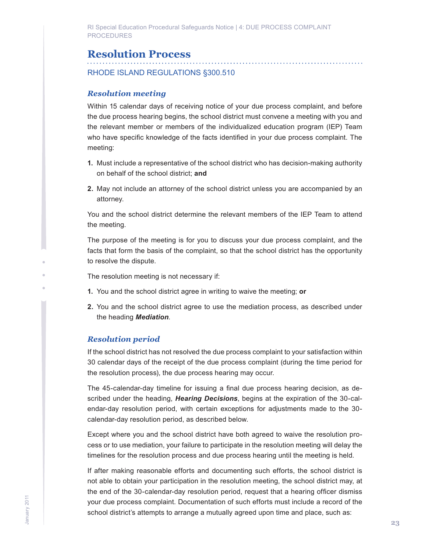<span id="page-22-0"></span>RI Special Education Procedural Safeguards Notice | 4: DUE PROCESS COMPLAINT PROCEDURES

## **Resolution Process**

RHODE ISLAND REGULATIONS §300.510

#### *Resolution meeting*

Within 15 calendar days of receiving notice of your due process complaint, and before the due process hearing begins, the school district must convene a meeting with you and the relevant member or members of the individualized education program (IEP) Team who have specific knowledge of the facts identified in your due process complaint. The meeting:

- **1.** Must include a representative of the school district who has decision-making authority on behalf of the school district; **and**
- **2.** May not include an attorney of the school district unless you are accompanied by an attorney.

You and the school district determine the relevant members of the IEP Team to attend the meeting.

The purpose of the meeting is for you to discuss your due process complaint, and the facts that form the basis of the complaint, so that the school district has the opportunity to resolve the dispute.

The resolution meeting is not necessary if:

- **1.** You and the school district agree in writing to waive the meeting; **or**
- **2.** You and the school district agree to use the mediation process, as described under the heading *Mediation*.

#### *Resolution period*

If the school district has not resolved the due process complaint to your satisfaction within 30 calendar days of the receipt of the due process complaint (during the time period for the resolution process), the due process hearing may occur.

The 45-calendar-day timeline for issuing a final due process hearing decision, as described under the heading, *Hearing Decisions*, begins at the expiration of the 30-calendar-day resolution period, with certain exceptions for adjustments made to the 30 calendar-day resolution period, as described below.

Except where you and the school district have both agreed to waive the resolution process or to use mediation, your failure to participate in the resolution meeting will delay the timelines for the resolution process and due process hearing until the meeting is held.

If after making reasonable efforts and documenting such efforts, the school district is not able to obtain your participation in the resolution meeting, the school district may, at the end of the 30-calendar-day resolution period, request that a hearing officer dismiss your due process complaint. Documentation of such efforts must include a record of the school district's attempts to arrange a mutually agreed upon time and place, such as: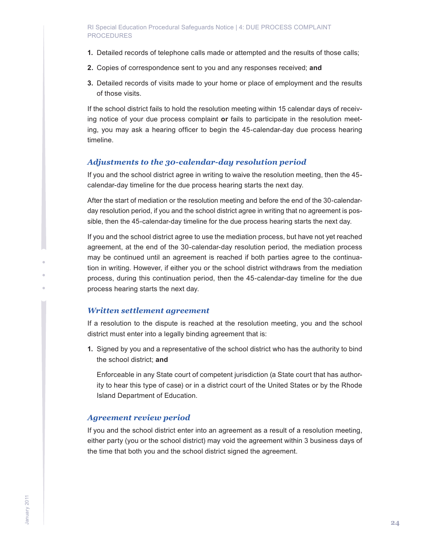- **1.** Detailed records of telephone calls made or attempted and the results of those calls;
- **2.** Copies of correspondence sent to you and any responses received; **and**
- **3.** Detailed records of visits made to your home or place of employment and the results of those visits.

If the school district fails to hold the resolution meeting within 15 calendar days of receiving notice of your due process complaint **or** fails to participate in the resolution meeting, you may ask a hearing officer to begin the 45-calendar-day due process hearing timeline.

## *Adjustments to the 30-calendar-day resolution period*

If you and the school district agree in writing to waive the resolution meeting, then the 45 calendar-day timeline for the due process hearing starts the next day.

After the start of mediation or the resolution meeting and before the end of the 30-calendarday resolution period, if you and the school district agree in writing that no agreement is possible, then the 45-calendar-day timeline for the due process hearing starts the next day.

If you and the school district agree to use the mediation process, but have not yet reached agreement, at the end of the 30-calendar-day resolution period, the mediation process may be continued until an agreement is reached if both parties agree to the continuation in writing. However, if either you or the school district withdraws from the mediation process, during this continuation period, then the 45-calendar-day timeline for the due process hearing starts the next day.

## *Written settlement agreement*

If a resolution to the dispute is reached at the resolution meeting, you and the school district must enter into a legally binding agreement that is:

**1.** Signed by you and a representative of the school district who has the authority to bind the school district; **and**

Enforceable in any State court of competent jurisdiction (a State court that has authority to hear this type of case) or in a district court of the United States or by the Rhode Island Department of Education.

## *Agreement review period*

If you and the school district enter into an agreement as a result of a resolution meeting, either party (you or the school district) may void the agreement within 3 business days of the time that both you and the school district signed the agreement.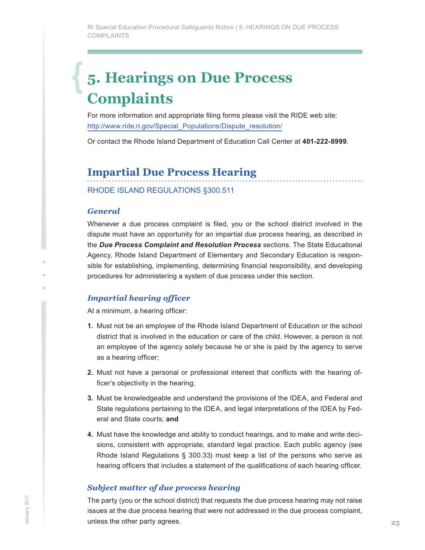## <span id="page-24-0"></span>**5. Hearings on Due Process Complaints**

For more information and appropriate filing forms please visit the RIDE web site: http://www.ride.ri.gov/Special\_Populations/Dispute\_resolution/

Or contact the Rhode Island Department of Education Call Center at **401-222-8999**.

## **Impartial Due Process Hearing**

RHODE ISLAND REGULATIONS §300.511

## *General*

Whenever a due process complaint is filed, you or the school district involved in the dispute must have an opportunity for an impartial due process hearing, as described in the *Due Process Complaint and Resolution Process* sections. The State Educational Agency, Rhode Island Department of Elementary and Secondary Education is responsible for establishing, implementing, determining financial responsibility, and developing procedures for administering a system of due process under this section.

## *Impartial hearing officer*

At a minimum, a hearing officer:

- **1.** Must not be an employee of the Rhode Island Department of Education or the school district that is involved in the education or care of the child. However, a person is not an employee of the agency solely because he or she is paid by the agency to serve as a hearing officer;
- **2.** Must not have a personal or professional interest that conflicts with the hearing officer's objectivity in the hearing;
- **3.** Must be knowledgeable and understand the provisions of the IDEA, and Federal and State regulations pertaining to the IDEA, and legal interpretations of the IDEA by Federal and State courts; **and**
- **4.** Must have the knowledge and ability to conduct hearings, and to make and write decisions, consistent with appropriate, standard legal practice. Each public agency (see Rhode Island Regulations § 300.33) must keep a list of the persons who serve as hearing officers that includes a statement of the qualifications of each hearing officer.

## *Subject matter of due process hearing*

The party (you or the school district) that requests the due process hearing may not raise issues at the due process hearing that were not addressed in the due process complaint, unless the other party agrees.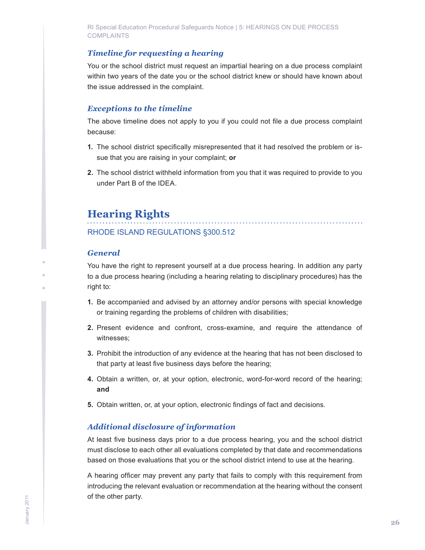## <span id="page-25-0"></span>*Timeline for requesting a hearing*

You or the school district must request an impartial hearing on a due process complaint within two years of the date you or the school district knew or should have known about the issue addressed in the complaint.

## *Exceptions to the timeline*

The above timeline does not apply to you if you could not file a due process complaint because:

- **1.** The school district specifically misrepresented that it had resolved the problem or issue that you are raising in your complaint; **or**
- **2.** The school district withheld information from you that it was required to provide to you under Part B of the IDEA.

## **Hearing Rights**

RHODE ISLAND REGULATIONS §300.512

## *General*

You have the right to represent yourself at a due process hearing. In addition any party to a due process hearing (including a hearing relating to disciplinary procedures) has the right to:

- **1.** Be accompanied and advised by an attorney and/or persons with special knowledge or training regarding the problems of children with disabilities;
- **2.** Present evidence and confront, cross-examine, and require the attendance of witnesses;
- **3.** Prohibit the introduction of any evidence at the hearing that has not been disclosed to that party at least five business days before the hearing;
- **4.** Obtain a written, or, at your option, electronic, word-for-word record of the hearing; **and**
- **5.** Obtain written, or, at your option, electronic findings of fact and decisions.

## *Additional disclosure of information*

At least five business days prior to a due process hearing, you and the school district must disclose to each other all evaluations completed by that date and recommendations based on those evaluations that you or the school district intend to use at the hearing.

A hearing officer may prevent any party that fails to comply with this requirement from introducing the relevant evaluation or recommendation at the hearing without the consent of the other party.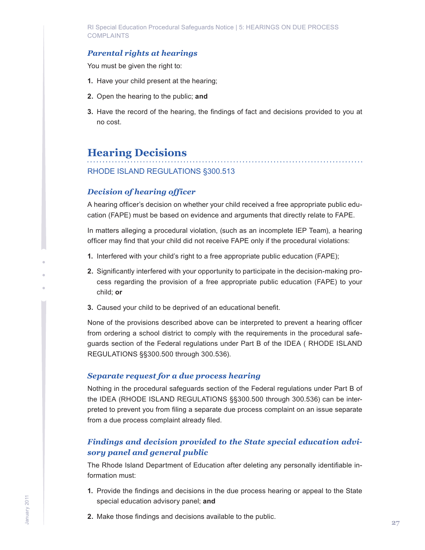<span id="page-26-0"></span>RI Special Education Procedural Safeguards Notice | 5: HEARINGS ON DUE PROCESS COMPLAINTS

## *Parental rights at hearings*

You must be given the right to:

- **1.** Have your child present at the hearing;
- **2.** Open the hearing to the public; **and**
- **3.** Have the record of the hearing, the findings of fact and decisions provided to you at no cost.

## **Hearing Decisions**

## RHODE ISLAND REGULATIONS §300.513

#### *Decision of hearing officer*

A hearing officer's decision on whether your child received a free appropriate public education (FAPE) must be based on evidence and arguments that directly relate to FAPE.

In matters alleging a procedural violation, (such as an incomplete IEP Team), a hearing officer may find that your child did not receive FAPE only if the procedural violations:

- **1.** Interfered with your child's right to a free appropriate public education (FAPE);
- **2.** Significantly interfered with your opportunity to participate in the decision-making process regarding the provision of a free appropriate public education (FAPE) to your child; **or**
- **3.** Caused your child to be deprived of an educational benefit.

None of the provisions described above can be interpreted to prevent a hearing officer from ordering a school district to comply with the requirements in the procedural safeguards section of the Federal regulations under Part B of the IDEA ( RHODE ISLAND REGULATIONS §§300.500 through 300.536).

#### *Separate request for a due process hearing*

Nothing in the procedural safeguards section of the Federal regulations under Part B of the IDEA (RHODE ISLAND REGULATIONS §§300.500 through 300.536) can be interpreted to prevent you from filing a separate due process complaint on an issue separate from a due process complaint already filed.

## *Findings and decision provided to the State special education advisory panel and general public*

The Rhode Island Department of Education after deleting any personally identifiable information must:

- **1.** Provide the findings and decisions in the due process hearing or appeal to the State special education advisory panel; **and**
- **2.** Make those findings and decisions available to the public.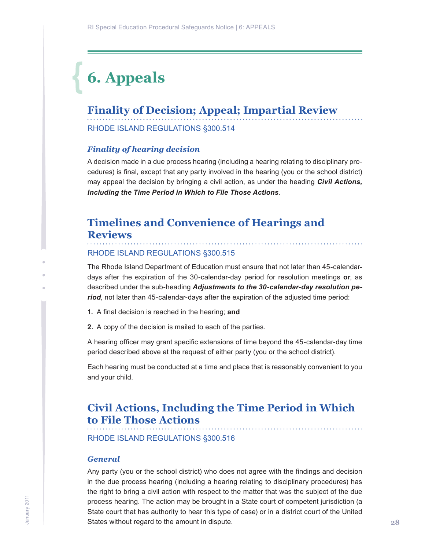## <span id="page-27-0"></span>**6. Appeals**

## **Finality of Decision; Appeal; Impartial Review**

RHODE ISLAND REGULATIONS §300.514

#### *Finality of hearing decision*

A decision made in a due process hearing (including a hearing relating to disciplinary procedures) is final, except that any party involved in the hearing (you or the school district) may appeal the decision by bringing a civil action, as under the heading *Civil Actions, Including the Time Period in Which to File Those Actions*.

## **Timelines and Convenience of Hearings and Reviews** . . . . . . . . . . . . . . . .

#### RHODE ISLAND REGULATIONS §300.515

The Rhode Island Department of Education must ensure that not later than 45-calendardays after the expiration of the 30-calendar-day period for resolution meetings **or**, as described under the sub-heading *Adjustments to the 30-calendar-day resolution period*, not later than 45-calendar-days after the expiration of the adjusted time period:

- **1.** A final decision is reached in the hearing; **and**
- **2.** A copy of the decision is mailed to each of the parties.

A hearing officer may grant specific extensions of time beyond the 45-calendar-day time period described above at the request of either party (you or the school district).

Each hearing must be conducted at a time and place that is reasonably convenient to you and your child.

## **Civil Actions, Including the Time Period in Which to File Those Actions**

RHODE ISLAND REGULATIONS §300.516

#### *General*

Any party (you or the school district) who does not agree with the findings and decision in the due process hearing (including a hearing relating to disciplinary procedures) has the right to bring a civil action with respect to the matter that was the subject of the due process hearing. The action may be brought in a State court of competent jurisdiction (a State court that has authority to hear this type of case) or in a district court of the United States without regard to the amount in dispute.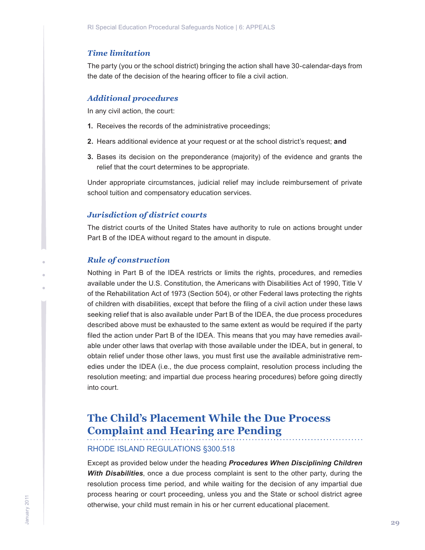#### <span id="page-28-0"></span>*Time limitation*

The party (you or the school district) bringing the action shall have 30-calendar-days from the date of the decision of the hearing officer to file a civil action.

#### *Additional procedures*

In any civil action, the court:

- **1.** Receives the records of the administrative proceedings;
- **2.** Hears additional evidence at your request or at the school district's request; **and**
- **3.** Bases its decision on the preponderance (majority) of the evidence and grants the relief that the court determines to be appropriate.

Under appropriate circumstances, judicial relief may include reimbursement of private school tuition and compensatory education services.

### *Jurisdiction of district courts*

The district courts of the United States have authority to rule on actions brought under Part B of the IDEA without regard to the amount in dispute.

#### *Rule of construction*

Nothing in Part B of the IDEA restricts or limits the rights, procedures, and remedies available under the U.S. Constitution, the Americans with Disabilities Act of 1990, Title V of the Rehabilitation Act of 1973 (Section 504), or other Federal laws protecting the rights of children with disabilities, except that before the filing of a civil action under these laws seeking relief that is also available under Part B of the IDEA, the due process procedures described above must be exhausted to the same extent as would be required if the party filed the action under Part B of the IDEA. This means that you may have remedies available under other laws that overlap with those available under the IDEA, but in general, to obtain relief under those other laws, you must first use the available administrative remedies under the IDEA (i.e., the due process complaint, resolution process including the resolution meeting; and impartial due process hearing procedures) before going directly into court.

## **The Child's Placement While the Due Process Complaint and Hearing are Pending**

#### RHODE ISLAND REGULATIONS §300.518

Except as provided below under the heading *Procedures When Disciplining Children With Disabilities*, once a due process complaint is sent to the other party, during the resolution process time period, and while waiting for the decision of any impartial due process hearing or court proceeding, unless you and the State or school district agree otherwise, your child must remain in his or her current educational placement.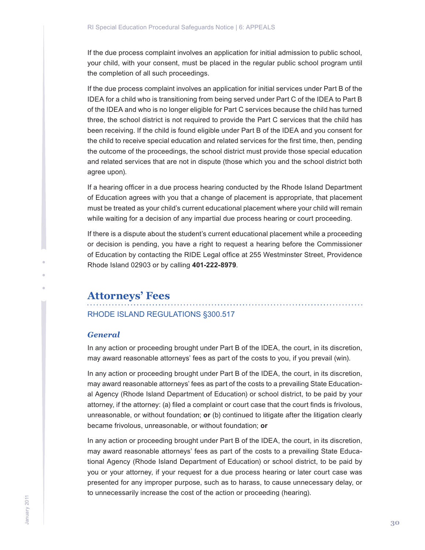<span id="page-29-0"></span>If the due process complaint involves an application for initial admission to public school, your child, with your consent, must be placed in the regular public school program until the completion of all such proceedings.

If the due process complaint involves an application for initial services under Part B of the IDEA for a child who is transitioning from being served under Part C of the IDEA to Part B of the IDEA and who is no longer eligible for Part C services because the child has turned three, the school district is not required to provide the Part C services that the child has been receiving. If the child is found eligible under Part B of the IDEA and you consent for the child to receive special education and related services for the first time, then, pending the outcome of the proceedings, the school district must provide those special education and related services that are not in dispute (those which you and the school district both agree upon).

If a hearing officer in a due process hearing conducted by the Rhode Island Department of Education agrees with you that a change of placement is appropriate, that placement must be treated as your child's current educational placement where your child will remain while waiting for a decision of any impartial due process hearing or court proceeding.

If there is a dispute about the student's current educational placement while a proceeding or decision is pending, you have a right to request a hearing before the Commissioner of Education by contacting the RIDE Legal office at 255 Westminster Street, Providence Rhode Island 02903 or by calling **401-222-8979**.

## **Attorneys' Fees**

## RHODE ISLAND REGULATIONS §300.517

#### *General*

In any action or proceeding brought under Part B of the IDEA, the court, in its discretion, may award reasonable attorneys' fees as part of the costs to you, if you prevail (win).

In any action or proceeding brought under Part B of the IDEA, the court, in its discretion, may award reasonable attorneys' fees as part of the costs to a prevailing State Educational Agency (Rhode Island Department of Education) or school district, to be paid by your attorney, if the attorney: (a) filed a complaint or court case that the court finds is frivolous, unreasonable, or without foundation; **or** (b) continued to litigate after the litigation clearly became frivolous, unreasonable, or without foundation; **or**

In any action or proceeding brought under Part B of the IDEA, the court, in its discretion, may award reasonable attorneys' fees as part of the costs to a prevailing State Educational Agency (Rhode Island Department of Education) or school district, to be paid by you or your attorney, if your request for a due process hearing or later court case was presented for any improper purpose, such as to harass, to cause unnecessary delay, or to unnecessarily increase the cost of the action or proceeding (hearing).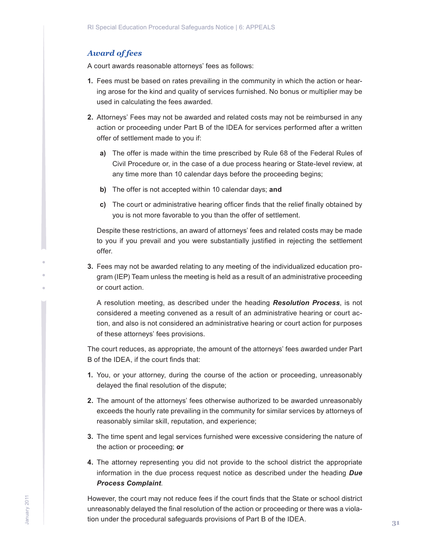## *Award of fees*

A court awards reasonable attorneys' fees as follows:

- **1.** Fees must be based on rates prevailing in the community in which the action or hearing arose for the kind and quality of services furnished. No bonus or multiplier may be used in calculating the fees awarded.
- **2.** Attorneys' Fees may not be awarded and related costs may not be reimbursed in any action or proceeding under Part B of the IDEA for services performed after a written offer of settlement made to you if:
	- **a)** The offer is made within the time prescribed by Rule 68 of the Federal Rules of Civil Procedure or, in the case of a due process hearing or State-level review, at any time more than 10 calendar days before the proceeding begins;
	- **b)** The offer is not accepted within 10 calendar days; **and**
	- **c)** The court or administrative hearing officer finds that the relief finally obtained by you is not more favorable to you than the offer of settlement.

Despite these restrictions, an award of attorneys' fees and related costs may be made to you if you prevail and you were substantially justified in rejecting the settlement offer.

**3.** Fees may not be awarded relating to any meeting of the individualized education program (IEP) Team unless the meeting is held as a result of an administrative proceeding or court action.

A resolution meeting, as described under the heading *Resolution Process*, is not considered a meeting convened as a result of an administrative hearing or court action, and also is not considered an administrative hearing or court action for purposes of these attorneys' fees provisions.

The court reduces, as appropriate, the amount of the attorneys' fees awarded under Part B of the IDEA, if the court finds that:

- **1.** You, or your attorney, during the course of the action or proceeding, unreasonably delayed the final resolution of the dispute;
- **2.** The amount of the attorneys' fees otherwise authorized to be awarded unreasonably exceeds the hourly rate prevailing in the community for similar services by attorneys of reasonably similar skill, reputation, and experience;
- **3.** The time spent and legal services furnished were excessive considering the nature of the action or proceeding; **or**
- **4.** The attorney representing you did not provide to the school district the appropriate information in the due process request notice as described under the heading *Due Process Complaint*.

However, the court may not reduce fees if the court finds that the State or school district unreasonably delayed the final resolution of the action or proceeding or there was a violation under the procedural safeguards provisions of Part B of the IDEA.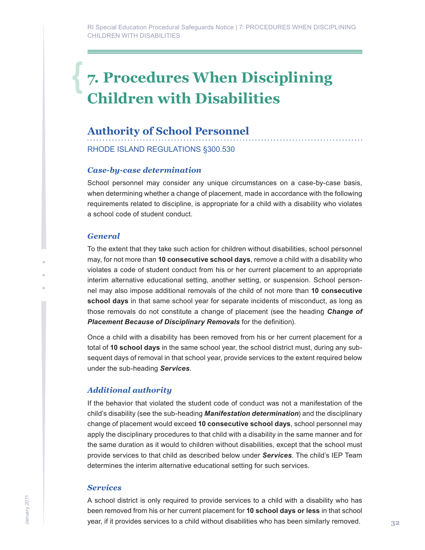## <span id="page-31-0"></span>**7. Procedures When Disciplining Children with Disabilities**

## **Authority of School Personnel**

#### RHODE ISLAND REGULATIONS §300.530

### *Case-by-case determination*

School personnel may consider any unique circumstances on a case-by-case basis, when determining whether a change of placement, made in accordance with the following requirements related to discipline, is appropriate for a child with a disability who violates a school code of student conduct.

#### *General*

To the extent that they take such action for children without disabilities, school personnel may, for not more than **10 consecutive school days**, remove a child with a disability who violates a code of student conduct from his or her current placement to an appropriate interim alternative educational setting, another setting, or suspension. School personnel may also impose additional removals of the child of not more than **10 consecutive school days** in that same school year for separate incidents of misconduct, as long as those removals do not constitute a change of placement (see the heading *Change of Placement Because of Disciplinary Removals* for the definition).

Once a child with a disability has been removed from his or her current placement for a total of **10 school days** in the same school year, the school district must, during any subsequent days of removal in that school year, provide services to the extent required below under the sub-heading *Services*.

## *Additional authority*

If the behavior that violated the student code of conduct was not a manifestation of the child's disability (see the sub-heading *Manifestation determination*) and the disciplinary change of placement would exceed **10 consecutive school days**, school personnel may apply the disciplinary procedures to that child with a disability in the same manner and for the same duration as it would to children without disabilities, except that the school must provide services to that child as described below under *Services*. The child's IEP Team determines the interim alternative educational setting for such services.

### *Services*

A school district is only required to provide services to a child with a disability who has been removed from his or her current placement for **10 school days or less** in that school year, if it provides services to a child without disabilities who has been similarly removed.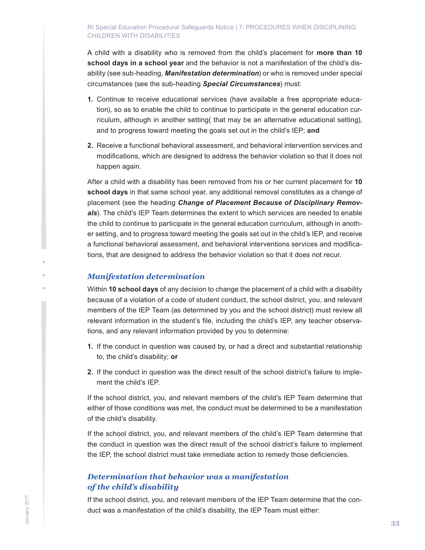A child with a disability who is removed from the child's placement for **more than 10 school days in a school year** and the behavior is not a manifestation of the child's disability (see sub-heading, *Manifestation determination*) or who is removed under special circumstances (see the sub-heading *Special Circumstances*) must:

- **1.** Continue to receive educational services (have available a free appropriate education), so as to enable the child to continue to participate in the general education curriculum, although in another setting( that may be an alternative educational setting), and to progress toward meeting the goals set out in the child's IEP; **and**
- **2.** Receive a functional behavioral assessment, and behavioral intervention services and modifications, which are designed to address the behavior violation so that it does not happen again.

After a child with a disability has been removed from his or her current placement for **10 school days** in that same school year, any additional removal constitutes as a change of placement (see the heading *Change of Placement Because of Disciplinary Remov*als). The child's IEP Team determines the extent to which services are needed to enable the child to continue to participate in the general education curriculum, although in another setting, and to progress toward meeting the goals set out in the child's IEP, and receive a functional behavioral assessment, and behavioral interventions services and modifications, that are designed to address the behavior violation so that it does not recur.

## *Manifestation determination*

Within **10 school days** of any decision to change the placement of a child with a disability because of a violation of a code of student conduct, the school district, you, and relevant members of the IEP Team (as determined by you and the school district) must review all relevant information in the student's file, including the child's IEP, any teacher observations, and any relevant information provided by you to determine:

- **1.** If the conduct in question was caused by, or had a direct and substantial relationship to, the child's disability; **or**
- **2.** If the conduct in question was the direct result of the school district's failure to implement the child's IEP.

If the school district, you, and relevant members of the child's IEP Team determine that either of those conditions was met, the conduct must be determined to be a manifestation of the child's disability.

If the school district, you, and relevant members of the child's IEP Team determine that the conduct in question was the direct result of the school district's failure to implement the IEP, the school district must take immediate action to remedy those deficiencies.

## *Determination that behavior was a manifestation of the child's disability*

If the school district, you, and relevant members of the IEP Team determine that the conduct was a manifestation of the child's disability, the IEP Team must either: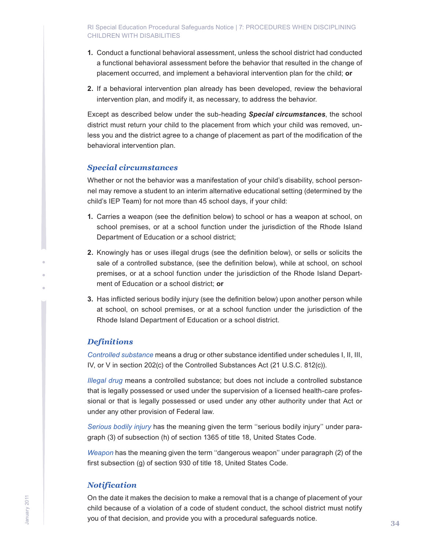- **1.** Conduct a functional behavioral assessment, unless the school district had conducted a functional behavioral assessment before the behavior that resulted in the change of placement occurred, and implement a behavioral intervention plan for the child; **or**
- **2.** If a behavioral intervention plan already has been developed, review the behavioral intervention plan, and modify it, as necessary, to address the behavior.

Except as described below under the sub-heading *Special circumstances*, the school district must return your child to the placement from which your child was removed, unless you and the district agree to a change of placement as part of the modification of the behavioral intervention plan.

## *Special circumstances*

Whether or not the behavior was a manifestation of your child's disability, school personnel may remove a student to an interim alternative educational setting (determined by the child's IEP Team) for not more than 45 school days, if your child:

- **1.** Carries a weapon (see the definition below) to school or has a weapon at school, on school premises, or at a school function under the jurisdiction of the Rhode Island Department of Education or a school district;
- **2.** Knowingly has or uses illegal drugs (see the definition below), or sells or solicits the sale of a controlled substance, (see the definition below), while at school, on school premises, or at a school function under the jurisdiction of the Rhode Island Department of Education or a school district; **or**
- **3.** Has inflicted serious bodily injury (see the definition below) upon another person while at school, on school premises, or at a school function under the jurisdiction of the Rhode Island Department of Education or a school district.

## *Definitions*

*Controlled substance* means a drug or other substance identified under schedules I, II, III, IV, or V in section 202(c) of the Controlled Substances Act (21 U.S.C. 812(c)).

*Illegal drug* means a controlled substance; but does not include a controlled substance that is legally possessed or used under the supervision of a licensed health-care professional or that is legally possessed or used under any other authority under that Act or under any other provision of Federal law.

*Serious bodily injury* has the meaning given the term ''serious bodily injury'' under paragraph (3) of subsection (h) of section 1365 of title 18, United States Code.

*Weapon* has the meaning given the term ''dangerous weapon'' under paragraph (2) of the first subsection (g) of section 930 of title 18, United States Code.

## *Notification*

On the date it makes the decision to make a removal that is a change of placement of your child because of a violation of a code of student conduct, the school district must notify you of that decision, and provide you with a procedural safeguards notice.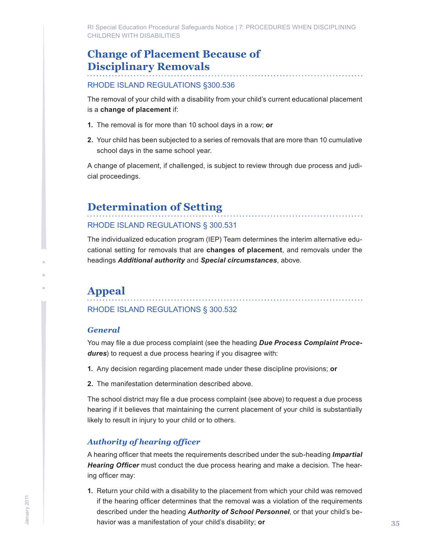<span id="page-34-0"></span>RI Special Education Procedural Safeguards Notice | 7: PROCEDURES WHEN DISCIPLINING CHILDREN WITH DISABILITIES

## **Change of Placement Because of Disciplinary Removals**

### RHODE ISLAND REGULATIONS §300.536

The removal of your child with a disability from your child's current educational placement is a **change of placement** if:

- **1.** The removal is for more than 10 school days in a row; **or**
- **2.** Your child has been subjected to a series of removals that are more than 10 cumulative school days in the same school year.

A change of placement, if challenged, is subject to review through due process and judicial proceedings.

## **Determination of Setting**

## RHODE ISLAND REGULATIONS § 300.531

The individualized education program (IEP) Team determines the interim alternative educational setting for removals that are **changes of placement**, and removals under the headings *Additional authority* and *Special circumstances*, above.

## **Appeal**

## RHODE ISLAND REGULATIONS § 300.532

### *General*

You may file a due process complaint (see the heading *Due Process Complaint Procedures*) to request a due process hearing if you disagree with:

- **1.** Any decision regarding placement made under these discipline provisions; **or**
- **2.** The manifestation determination described above.

The school district may file a due process complaint (see above) to request a due process hearing if it believes that maintaining the current placement of your child is substantially likely to result in injury to your child or to others.

## *Authority of hearing officer*

A hearing officer that meets the requirements described under the sub-heading *Impartial Hearing Officer* must conduct the due process hearing and make a decision. The hearing officer may:

**1.** Return your child with a disability to the placement from which your child was removed if the hearing officer determines that the removal was a violation of the requirements described under the heading *Authority of School Personnel*, or that your child's behavior was a manifestation of your child's disability; **or**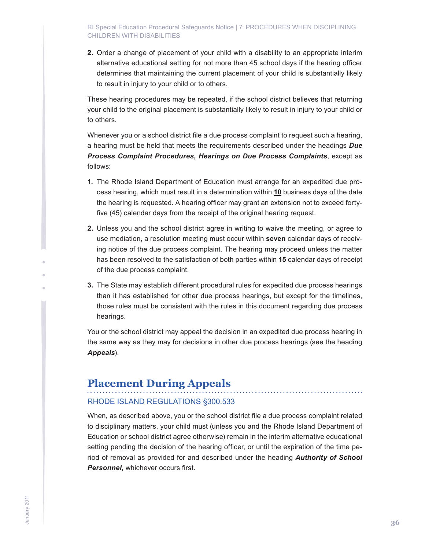<span id="page-35-0"></span>**2.** Order a change of placement of your child with a disability to an appropriate interim alternative educational setting for not more than 45 school days if the hearing officer determines that maintaining the current placement of your child is substantially likely to result in injury to your child or to others.

These hearing procedures may be repeated, if the school district believes that returning your child to the original placement is substantially likely to result in injury to your child or to others.

Whenever you or a school district file a due process complaint to request such a hearing, a hearing must be held that meets the requirements described under the headings *Due Process Complaint Procedures, Hearings on Due Process Complaints*, except as follows:

- **1.** The Rhode Island Department of Education must arrange for an expedited due process hearing, which must result in a determination within **10** business days of the date the hearing is requested. A hearing officer may grant an extension not to exceed fortyfive (45) calendar days from the receipt of the original hearing request.
- **2.** Unless you and the school district agree in writing to waive the meeting, or agree to use mediation, a resolution meeting must occur within **seven** calendar days of receiving notice of the due process complaint. The hearing may proceed unless the matter has been resolved to the satisfaction of both parties within **15** calendar days of receipt of the due process complaint.
- **3.** The State may establish different procedural rules for expedited due process hearings than it has established for other due process hearings, but except for the timelines, those rules must be consistent with the rules in this document regarding due process hearings.

You or the school district may appeal the decision in an expedited due process hearing in the same way as they may for decisions in other due process hearings (see the heading *Appeals*).

## **Placement During Appeals**

## RHODE ISLAND REGULATIONS §300.533

When, as described above, you or the school district file a due process complaint related to disciplinary matters, your child must (unless you and the Rhode Island Department of Education or school district agree otherwise) remain in the interim alternative educational setting pending the decision of the hearing officer, or until the expiration of the time period of removal as provided for and described under the heading *Authority of School Personnel,* whichever occurs first.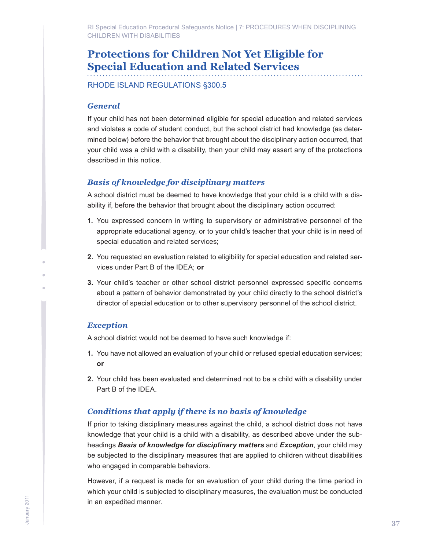<span id="page-36-0"></span>RI Special Education Procedural Safeguards Notice | 7: PROCEDURES WHEN DISCIPLINING CHILDREN WITH DISABILITIES

## **Protections for Children Not Yet Eligible for Special Education and Related Services**

RHODE ISLAND REGULATIONS §300.5

## *General*

If your child has not been determined eligible for special education and related services and violates a code of student conduct, but the school district had knowledge (as determined below) before the behavior that brought about the disciplinary action occurred, that your child was a child with a disability, then your child may assert any of the protections described in this notice.

## *Basis of knowledge for disciplinary matters*

A school district must be deemed to have knowledge that your child is a child with a disability if, before the behavior that brought about the disciplinary action occurred:

- **1.** You expressed concern in writing to supervisory or administrative personnel of the appropriate educational agency, or to your child's teacher that your child is in need of special education and related services;
- **2.** You requested an evaluation related to eligibility for special education and related services under Part B of the IDEA; **or**
- **3.** Your child's teacher or other school district personnel expressed specific concerns about a pattern of behavior demonstrated by your child directly to the school district's director of special education or to other supervisory personnel of the school district.

## *Exception*

A school district would not be deemed to have such knowledge if:

- **1.** You have not allowed an evaluation of your child or refused special education services; **or**
- **2.** Your child has been evaluated and determined not to be a child with a disability under Part B of the IDEA.

## *Conditions that apply if there is no basis of knowledge*

If prior to taking disciplinary measures against the child, a school district does not have knowledge that your child is a child with a disability, as described above under the subheadings *Basis of knowledge for disciplinary matters* and *Exception*, your child may be subjected to the disciplinary measures that are applied to children without disabilities who engaged in comparable behaviors.

However, if a request is made for an evaluation of your child during the time period in which your child is subjected to disciplinary measures, the evaluation must be conducted in an expedited manner.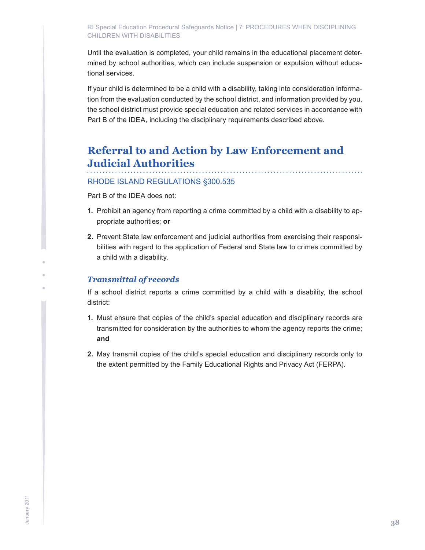#### <span id="page-37-0"></span>RI Special Education Procedural Safeguards Notice | 7: PROCEDURES WHEN DISCIPLINING CHILDREN WITH DISABILITIES

Until the evaluation is completed, your child remains in the educational placement determined by school authorities, which can include suspension or expulsion without educational services.

If your child is determined to be a child with a disability, taking into consideration information from the evaluation conducted by the school district, and information provided by you, the school district must provide special education and related services in accordance with Part B of the IDEA, including the disciplinary requirements described above.

## **Referral to and Action by Law Enforcement and Judicial Authorities**

## RHODE ISLAND REGULATIONS §300.535

Part B of the IDEA does not:

- **1.** Prohibit an agency from reporting a crime committed by a child with a disability to appropriate authorities; **or**
- **2.** Prevent State law enforcement and judicial authorities from exercising their responsibilities with regard to the application of Federal and State law to crimes committed by a child with a disability.

### *Transmittal of records*

If a school district reports a crime committed by a child with a disability, the school district:

- **1.** Must ensure that copies of the child's special education and disciplinary records are transmitted for consideration by the authorities to whom the agency reports the crime; **and**
- **2.** May transmit copies of the child's special education and disciplinary records only to the extent permitted by the Family Educational Rights and Privacy Act (FERPA).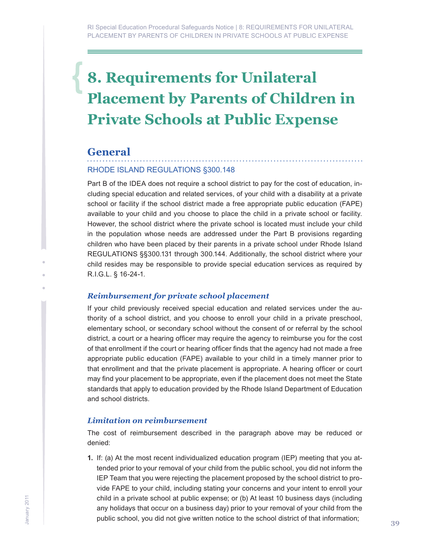## <span id="page-38-0"></span>**8. Requirements for Unilateral Placement by Parents of Children in Private Schools at Public Expense**

## **General**

## RHODE ISLAND REGULATIONS §300.148

Part B of the IDEA does not require a school district to pay for the cost of education, including special education and related services, of your child with a disability at a private school or facility if the school district made a free appropriate public education (FAPE) available to your child and you choose to place the child in a private school or facility. However, the school district where the private school is located must include your child in the population whose needs are addressed under the Part B provisions regarding children who have been placed by their parents in a private school under Rhode Island REGULATIONS §§300.131 through 300.144. Additionally, the school district where your child resides may be responsible to provide special education services as required by R.I.G.L. § 16-24-1.

## *Reimbursement for private school placement*

If your child previously received special education and related services under the authority of a school district, and you choose to enroll your child in a private preschool, elementary school, or secondary school without the consent of or referral by the school district, a court or a hearing officer may require the agency to reimburse you for the cost of that enrollment if the court or hearing officer finds that the agency had not made a free appropriate public education (FAPE) available to your child in a timely manner prior to that enrollment and that the private placement is appropriate. A hearing officer or court may find your placement to be appropriate, even if the placement does not meet the State standards that apply to education provided by the Rhode Island Department of Education and school districts.

## *Limitation on reimbursement*

The cost of reimbursement described in the paragraph above may be reduced or denied:

**1.** If: (a) At the most recent individualized education program (IEP) meeting that you attended prior to your removal of your child from the public school, you did not inform the IEP Team that you were rejecting the placement proposed by the school district to provide FAPE to your child, including stating your concerns and your intent to enroll your child in a private school at public expense; or (b) At least 10 business days (including any holidays that occur on a business day) prior to your removal of your child from the public school, you did not give written notice to the school district of that information;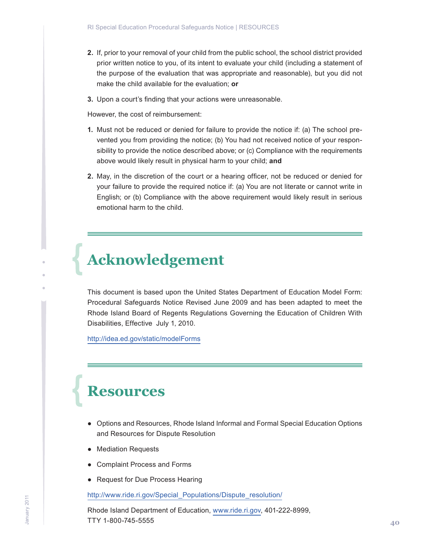- <span id="page-39-0"></span>**2.** If, prior to your removal of your child from the public school, the school district provided prior written notice to you, of its intent to evaluate your child (including a statement of the purpose of the evaluation that was appropriate and reasonable), but you did not make the child available for the evaluation; **or**
- **3.** Upon a court's finding that your actions were unreasonable.

However, the cost of reimbursement:

- **1.** Must not be reduced or denied for failure to provide the notice if: (a) The school prevented you from providing the notice; (b) You had not received notice of your responsibility to provide the notice described above; or (c) Compliance with the requirements above would likely result in physical harm to your child; **and**
- **2.** May, in the discretion of the court or a hearing officer, not be reduced or denied for your failure to provide the required notice if: (a) You are not literate or cannot write in English; or (b) Compliance with the above requirement would likely result in serious emotional harm to the child.

## **Acknowledgement**

This document is based upon the United States Department of Education Model Form: Procedural Safeguards Notice Revised June 2009 and has been adapted to meet the Rhode Island Board of Regents Regulations Governing the Education of Children With Disabilities, Effective July 1, 2010.

http://idea.ed.gov/static/modelForms

## **Resources**

- Options and Resources, Rhode Island Informal and Formal Special Education Options and Resources for Dispute Resolution
- Mediation Requests
- Complaint Process and Forms
- Request for Due Process Hearing

http://www.ride.ri.gov/Special\_Populations/Dispute\_resolution/

Rhode Island Department of Education, www.ride.ri.gov, 401-222-8999, TTY 1-800-745-5555